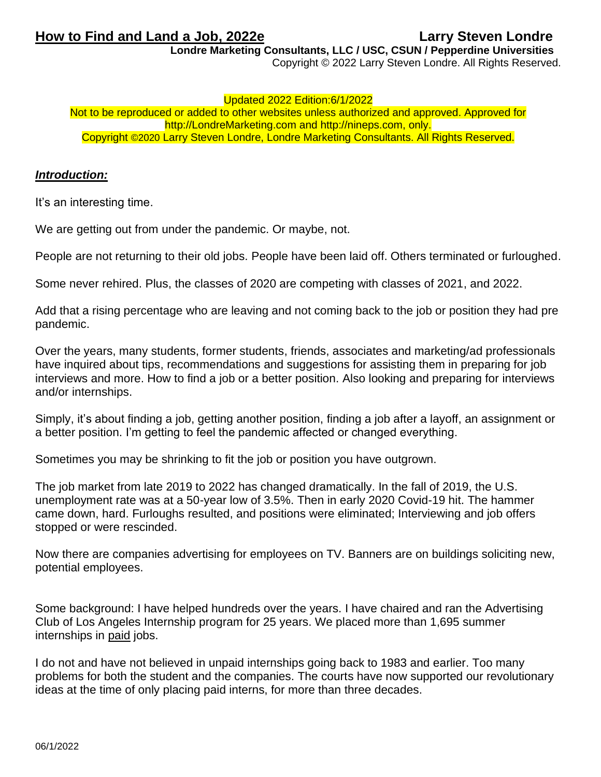**How to Find and Land a Job, 2022e Larry Steven Londre** 

**Londre Marketing Consultants, LLC / USC, CSUN / Pepperdine Universities**

Copyright © 2022 Larry Steven Londre. All Rights Reserved.

### Updated 2022 Edition:6/1/2022

Not to be reproduced or added to other websites unless authorized and approved. Approved for http://LondreMarketing.com and [http://nineps.com,](http://nineps.com/) only. Copyright ©2020 Larry Steven Londre, Londre Marketing Consultants. All Rights Reserved.

# *Introduction:*

It's an interesting time.

We are getting out from under the pandemic. Or maybe, not.

People are not returning to their old jobs. People have been laid off. Others terminated or furloughed.

Some never rehired. Plus, the classes of 2020 are competing with classes of 2021, and 2022.

Add that a rising percentage who are leaving and not coming back to the job or position they had pre pandemic.

Over the years, many students, former students, friends, associates and marketing/ad professionals have inquired about tips, recommendations and suggestions for assisting them in preparing for job interviews and more. How to find a job or a better position. Also looking and preparing for interviews and/or internships.

Simply, it's about finding a job, getting another position, finding a job after a layoff, an assignment or a better position. I'm getting to feel the pandemic affected or changed everything.

Sometimes you may be shrinking to fit the job or position you have outgrown.

The job market from late 2019 to 2022 has changed dramatically. In the fall of 2019, the U.S. unemployment rate was at a 50-year low of 3.5%. Then in early 2020 Covid-19 hit. The hammer came down, hard. Furloughs resulted, and positions were eliminated; Interviewing and job offers stopped or were rescinded.

Now there are companies advertising for employees on TV. Banners are on buildings soliciting new, potential employees.

Some background: I have helped hundreds over the years. I have chaired and ran the Advertising Club of Los Angeles Internship program for 25 years. We placed more than 1,695 summer internships in paid jobs.

I do not and have not believed in unpaid internships going back to 1983 and earlier. Too many problems for both the student and the companies. The courts have now supported our revolutionary ideas at the time of only placing paid interns, for more than three decades.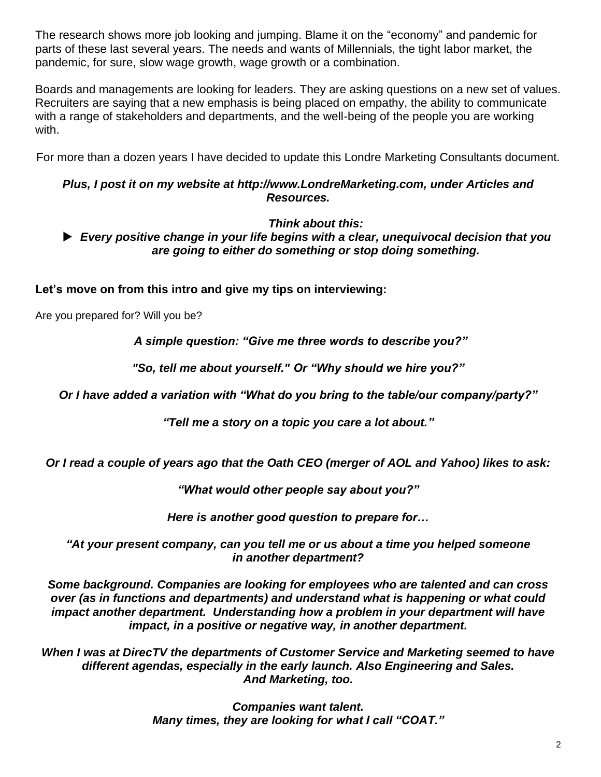The research shows more job looking and jumping. Blame it on the "economy" and pandemic for parts of these last several years. The needs and wants of Millennials, the tight labor market, the pandemic, for sure, slow wage growth, wage growth or a combination.

Boards and managements are looking for leaders. They are asking questions on a new set of values. Recruiters are saying that a new emphasis is being placed on empathy, the ability to communicate with a range of stakeholders and departments, and the well-being of the people you are working with.

For more than a dozen years I have decided to update this Londre Marketing Consultants document.

# *Plus, I post it on my website at [http://www.LondreMarketing.com,](http://www.londremarketing.com/) under Articles and Resources.*

# *Think about this:*

 *Every positive change in your life begins with a clear, unequivocal decision that you are going to either do something or stop doing something.*

**Let's move on from this intro and give my tips on interviewing:** 

Are you prepared for? Will you be?

*A simple question: "Give me three words to describe you?"*

*"So, tell me about yourself." Or "Why should we hire you?"*

*Or I have added a variation with "What do you bring to the table/our company/party?"*

*"Tell me a story on a topic you care a lot about."*

*Or I read a couple of years ago that the Oath CEO (merger of AOL and Yahoo) likes to ask:* 

*"What would other people say about you?"*

*Here is another good question to prepare for…*

*"At your present company, can you tell me or us about a time you helped someone in another department?*

*Some background. Companies are looking for employees who are talented and can cross over (as in functions and departments) and understand what is happening or what could impact another department. Understanding how a problem in your department will have impact, in a positive or negative way, in another department.*

*When I was at DirecTV the departments of Customer Service and Marketing seemed to have different agendas, especially in the early launch. Also Engineering and Sales. And Marketing, too.*

> *Companies want talent. Many times, they are looking for what I call "COAT."*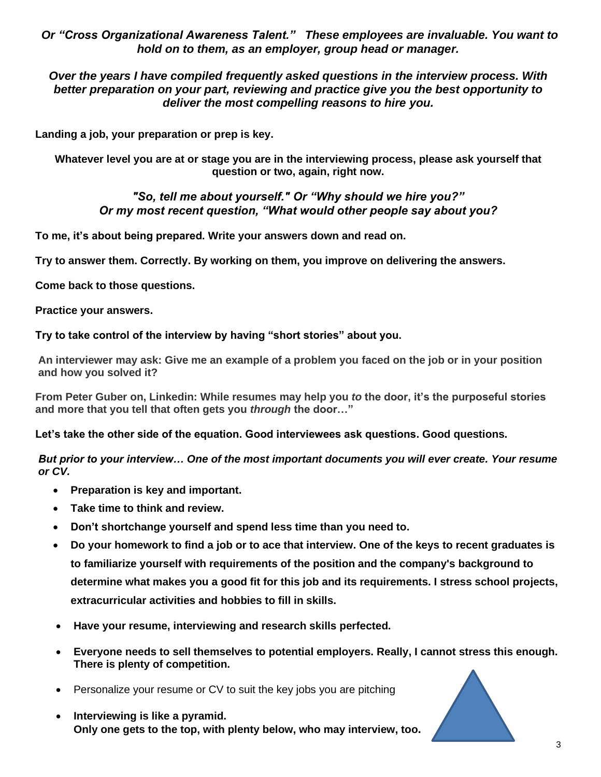*Or "Cross Organizational Awareness Talent." These employees are invaluable. You want to hold on to them, as an employer, group head or manager.* 

*Over the years I have compiled frequently asked questions in the interview process. With better preparation on your part, reviewing and practice give you the best opportunity to deliver the most compelling reasons to hire you.*

**Landing a job, your preparation or prep is key.** 

**Whatever level you are at or stage you are in the interviewing process, please ask yourself that question or two, again, right now.** 

# *"So, tell me about yourself." Or "Why should we hire you?" Or my most recent question, "What would other people say about you?*

**To me, it's about being prepared. Write your answers down and read on.** 

**Try to answer them. Correctly. By working on them, you improve on delivering the answers.**

**Come back to those questions.** 

**Practice your answers.**

**Try to take control of the interview by having "short stories" about you.**

**An interviewer may ask: Give me an example of a problem you faced on the job or in your position and how you solved it?**

**From Peter Guber on, Linkedin: While resumes may help you** *to* **the door, it's the purposeful stories and more that you tell that often gets you** *through* **the door…"** 

**Let's take the other side of the equation. Good interviewees ask questions. Good questions.** 

*But prior to your interview… One of the most important documents you will ever create. Your resume or CV.*

- **Preparation is key and important.**
- **Take time to think and review.**
- **Don't shortchange yourself and spend less time than you need to.**
- **[Do your homework to find a job](http://r.smartbrief.com/resp/mmbLCkhKeQsagohsfDzdiMfCGfAA?format=multipart) or to ace that interview. One of the keys to recent graduates is to familiarize yourself with requirements of the position and the company's background to determine what makes you a good fit for this job and its requirements. I stress school projects, extracurricular activities and hobbies to fill in skills.**
- **Have your resume, interviewing and research skills perfected.**
- **Everyone needs to sell themselves to potential employers. Really, I cannot stress this enough. There is plenty of competition.**
- Personalize your resume or CV to suit the key jobs you are pitching
- **Interviewing is like a pyramid. Only one gets to the top, with plenty below, who may interview, too.**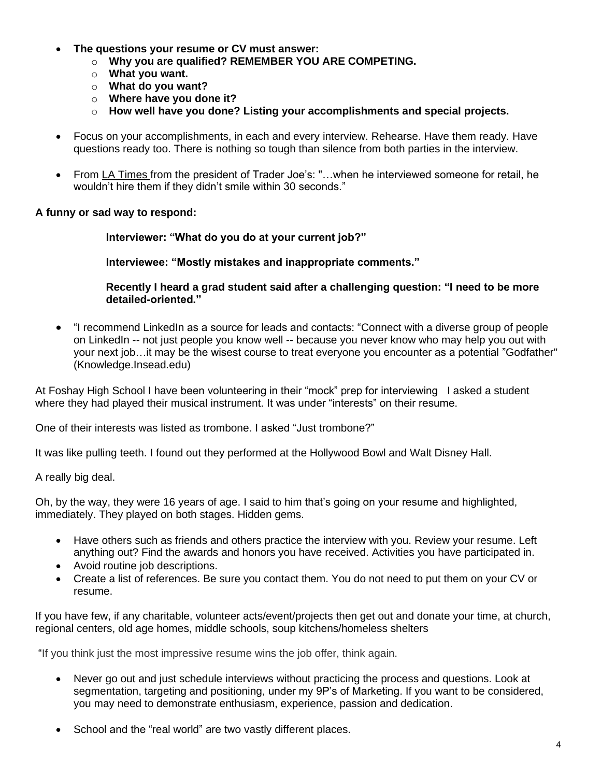- **The questions your resume or CV must answer:**
	- o **Why you are qualified? REMEMBER YOU ARE COMPETING.**
	- o **What you want.**
	- o **What do you want?**
	- o **Where have you done it?**
	- o **How well have you done? Listing your accomplishments and special projects.**
- Focus on your accomplishments, in each and every interview. Rehearse. Have them ready. Have questions ready too. There is nothing so tough than silence from both parties in the interview.
- From LA Times from the president of Trader Joe's: "…when he interviewed someone for retail, he wouldn't hire them if they didn't smile within 30 seconds."

# **A funny or sad way to respond:**

**Interviewer: "What do you do at your current job?"**

**Interviewee: "Mostly mistakes and inappropriate comments."** 

**Recently I heard a grad student said after a challenging question: "I need to be more detailed-oriented."**

• "I recommend LinkedIn as a source for leads and contacts: "Connect with a diverse group of people on LinkedIn -- not just people you know well -- because you never know who may help you out with your next job…it may be the wisest course to treat everyone you encounter as a potential "Godfather" [\(Knowledge.Insead.edu\)](http://r.smartbrief.com/resp/gjeZCkhKeQmjjPzgfDljaIfCuhha?format=standard)

At Foshay High School I have been volunteering in their "mock" prep for interviewing I asked a student where they had played their musical instrument. It was under "interests" on their resume.

One of their interests was listed as trombone. I asked "Just trombone?"

It was like pulling teeth. I found out they performed at the Hollywood Bowl and Walt Disney Hall.

A really big deal.

Oh, by the way, they were 16 years of age. I said to him that's going on your resume and highlighted, immediately. They played on both stages. Hidden gems.

- Have others such as friends and others practice the interview with you. Review your resume. Left anything out? Find the awards and honors you have received. Activities you have participated in.
- Avoid routine job descriptions.
- Create a list of references. Be sure you contact them. You do not need to put them on your CV or resume.

If you have few, if any charitable, volunteer acts/event/projects then get out and donate your time, at church, regional centers, old age homes, middle schools, soup kitchens/homeless shelters

"If you think just the most impressive resume wins the job offer, think again.

- Never go out and just schedule interviews without practicing the process and questions. Look at segmentation, targeting and positioning, under my 9P's of Marketing. If you want to be considered, you may need to demonstrate enthusiasm, experience, passion and dedication.
- School and the "real world" are two vastly different places.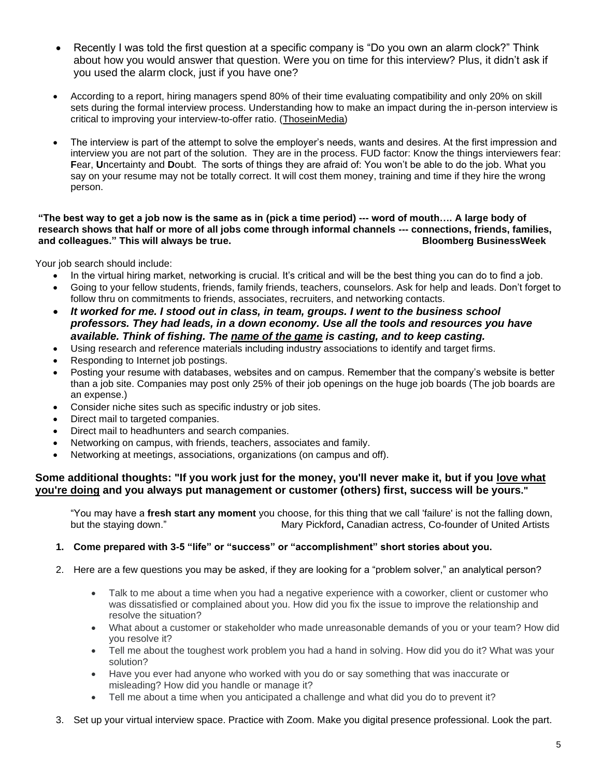- Recently I was told the first question at a specific company is "Do you own an alarm clock?" Think about how you would answer that question. Were you on time for this interview? Plus, it didn't ask if you used the alarm clock, just if you have one?
- According to a report, hiring managers spend 80% of their time evaluating compatibility and only 20% on skill sets during the formal interview process. Understanding how to make an impact during the in-person interview is critical to improving your interview-to-offer ratio. (ThoseinMedia)
- The interview is part of the attempt to solve the employer's needs, wants and desires. At the first impression and interview you are not part of the solution. They are in the process. FUD factor: Know the things interviewers fear: **F**ear, **U**ncertainty and **D**oubt. The sorts of things they are afraid of: You won't be able to do the job. What you say on your resume may not be totally correct. It will cost them money, training and time if they hire the wrong person.

### **"The best way to get a job now is the same as in (pick a time period) --- word of mouth…. A large body of research shows that half or more of all jobs come through informal channels --- connections, friends, families, and colleagues." This will always be true. Bloomberg BusinessWeek**

Your job search should include:

- In the virtual hiring market, networking is crucial. It's critical and will be the best thing you can do to find a job.
- Going to your fellow students, friends, family friends, teachers, counselors. Ask for help and leads. Don't forget to follow thru on commitments to friends, associates, recruiters, and networking contacts.
- *It worked for me. I stood out in class, in team, groups. I went to the business school professors. They had leads, in a down economy. Use all the tools and resources you have available. Think of fishing. The name of the game is casting, and to keep casting.*
- Using research and reference materials including industry associations to identify and target firms.
- Responding to Internet job postings.
- Posting your resume with databases, websites and on campus. Remember that the company's website is better than a job site. Companies may post only 25% of their job openings on the huge job boards (The job boards are an expense.)
- Consider niche sites such as specific industry or job sites.
- Direct mail to targeted companies.
- Direct mail to headhunters and search companies.
- Networking on campus, with friends, teachers, associates and family.
- Networking at meetings, associations, organizations (on campus and off).

# Some additional thoughts: "If you work just for the money, you'll never make it, but if you love what **you're doing and you always put management or customer (others) first, success will be yours."**

"You may have a **fresh start any moment** you choose, for this thing that we call 'failure' is not the falling down, but the staying down." Mary Pickford**,** Canadian actress, Co-founder of United Artists

### **1. Come prepared with 3-5 "life" or "success" or "accomplishment" short stories about you.**

- 2. Here are a few questions you may be asked, if they are looking for a "problem solver," an analytical person?
	- Talk to me about a time when you had a negative experience with a coworker, client or customer who was dissatisfied or complained about you. How did you fix the issue to improve the relationship and resolve the situation?
	- What about a customer or stakeholder who made unreasonable demands of you or your team? How did you resolve it?
	- Tell me about the toughest work problem you had a hand in solving. How did you do it? What was your solution?
	- Have you ever had anyone who worked with you do or say something that was inaccurate or misleading? How did you handle or manage it?
	- Tell me about a time when you anticipated a challenge and what did you do to prevent it?
- 3. Set up your virtual interview space. Practice with Zoom. Make you digital presence professional. Look the part.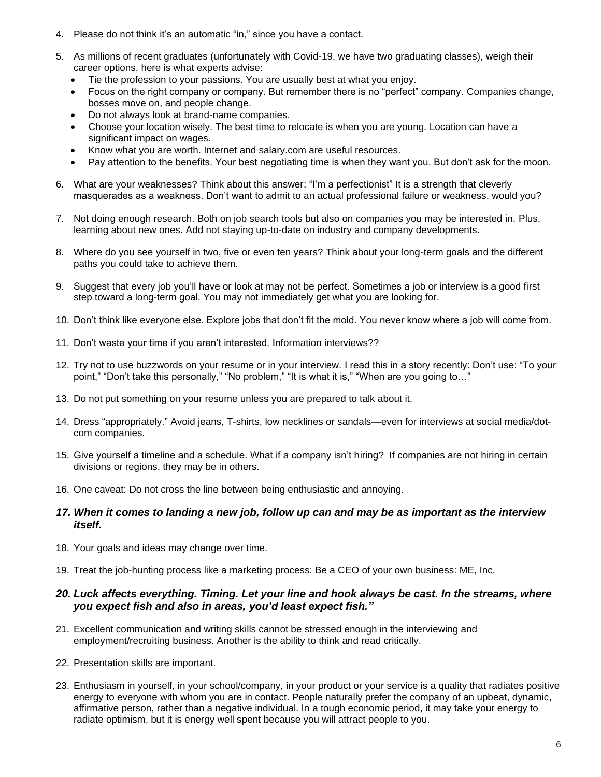- 4. Please do not think it's an automatic "in," since you have a contact.
- 5. As millions of recent graduates (unfortunately with Covid-19, we have two graduating classes), weigh their career options, here is what experts advise:
	- Tie the profession to your passions. You are usually best at what you enjoy.
	- Focus on the right company or company. But remember there is no "perfect" company. Companies change, bosses move on, and people change.
	- Do not always look at brand-name companies.
	- Choose your location wisely. The best time to relocate is when you are young. Location can have a significant impact on wages.
	- Know what you are worth. Internet and salary.com are useful resources.
	- Pay attention to the benefits. Your best negotiating time is when they want you. But don't ask for the moon.
- 6. What are your weaknesses? Think about this answer: "I'm a perfectionist" It is a strength that cleverly masquerades as a weakness. Don't want to admit to an actual professional failure or weakness, would you?
- 7. Not doing enough research. Both on job search tools but also on companies you may be interested in. Plus, learning about new ones. Add not staying up-to-date on industry and company developments.
- 8. Where do you see yourself in two, five or even ten years? Think about your long-term goals and the different paths you could take to achieve them.
- 9. Suggest that every job you'll have or look at may not be perfect. Sometimes a job or interview is a good first step toward a long-term goal. You may not immediately get what you are looking for.
- 10. Don't think like everyone else. Explore jobs that don't fit the mold. You never know where a job will come from.
- 11. Don't waste your time if you aren't interested. Information interviews??
- 12. Try not to use buzzwords on your resume or in your interview. I read this in a story recently: Don't use: "To your point," "Don't take this personally," "No problem," "It is what it is," "When are you going to…"
- 13. Do not put something on your resume unless you are prepared to talk about it.
- 14. Dress "appropriately." Avoid jeans, T-shirts, low necklines or sandals—even for interviews at social media/dotcom companies.
- 15. Give yourself a timeline and a schedule. What if a company isn't hiring? If companies are not hiring in certain divisions or regions, they may be in others.
- 16. One caveat: Do not cross the line between being enthusiastic and annoying.
- *17. When it comes to landing a new job, follow up can and may be as important as the interview itself.*
- 18. Your goals and ideas may change over time.
- 19. Treat the job-hunting process like a marketing process: Be a CEO of your own business: ME, Inc.

# *20. Luck affects everything. Timing. Let your line and hook always be cast. In the streams, where you expect fish and also in areas, you'd least expect fish."*

- 21. Excellent communication and writing skills cannot be stressed enough in the interviewing and employment/recruiting business. Another is the ability to think and read critically.
- 22. Presentation skills are important.
- 23. Enthusiasm in yourself, in your school/company, in your product or your service is a quality that radiates positive energy to everyone with whom you are in contact. People naturally prefer the company of an upbeat, dynamic, affirmative person, rather than a negative individual. In a tough economic period, it may take your energy to radiate optimism, but it is energy well spent because you will attract people to you.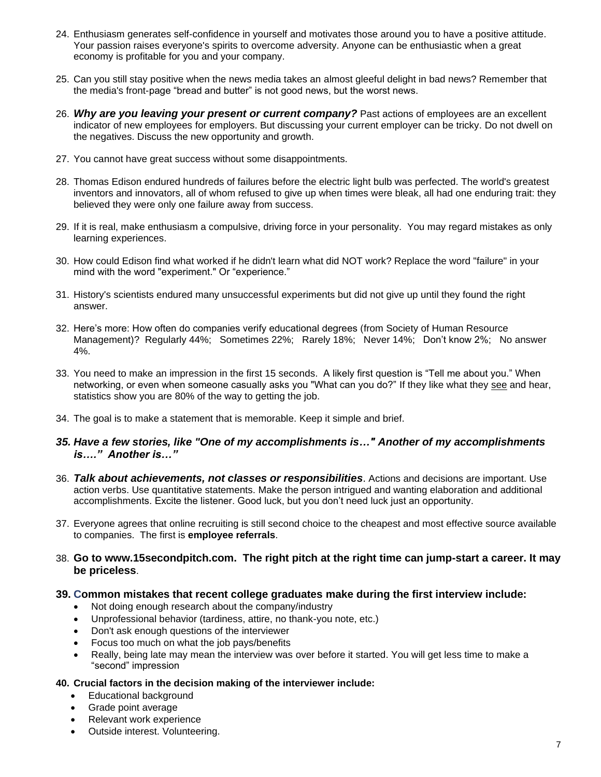- 24. Enthusiasm generates self-confidence in yourself and motivates those around you to have a positive attitude. Your passion raises everyone's spirits to overcome adversity. Anyone can be enthusiastic when a great economy is profitable for you and your company.
- 25. Can you still stay positive when the news media takes an almost gleeful delight in bad news? Remember that the media's front-page "bread and butter" is not good news, but the worst news.
- 26. *Why are you leaving your present or current company?* Past actions of employees are an excellent indicator of new employees for employers. But discussing your current employer can be tricky. Do not dwell on the negatives. Discuss the new opportunity and growth.
- 27. You cannot have great success without some disappointments.
- 28. Thomas Edison endured hundreds of failures before the electric light bulb was perfected. The world's greatest inventors and innovators, all of whom refused to give up when times were bleak, all had one enduring trait: they believed they were only one failure away from success.
- 29. If it is real, make enthusiasm a compulsive, driving force in your personality. You may regard mistakes as only learning experiences.
- 30. How could Edison find what worked if he didn't learn what did NOT work? Replace the word "failure" in your mind with the word "experiment." Or "experience."
- 31. History's scientists endured many unsuccessful experiments but did not give up until they found the right answer.
- 32. Here's more: How often do companies verify educational degrees (from Society of Human Resource Management)? Regularly 44%; Sometimes 22%; Rarely 18%; Never 14%; Don't know 2%; No answer 4%.
- 33. You need to make an impression in the first 15 seconds. A likely first question is "Tell me about you." When networking, or even when someone casually asks you "What can you do?" If they like what they see and hear, statistics show you are 80% of the way to getting the job.
- 34. The goal is to make a statement that is memorable. Keep it simple and brief.
- *35. Have a few stories, like "One of my accomplishments is…" Another of my accomplishments is…." Another is…"*
- 36. *Talk about achievements, not classes or responsibilities*. Actions and decisions are important. Use action verbs. Use quantitative statements. Make the person intrigued and wanting elaboration and additional accomplishments. Excite the listener. Good luck, but you don't need luck just an opportunity.
- 37. Everyone agrees that online recruiting is still second choice to the cheapest and most effective source available to companies. The first is **employee referrals**.
- 38. **Go to [www.15secondpitch.com.](http://www.15secondpitch.com/) The right pitch at the right time can jump-start a career. It may be priceless**.

### **39. Common mistakes that recent college graduates make during the first interview include:**

- Not doing enough research about the company/industry
- Unprofessional behavior (tardiness, attire, no thank-you note, etc.)
- Don't ask enough questions of the interviewer
- Focus too much on what the job pays/benefits
- Really, being late may mean the interview was over before it started. You will get less time to make a "second" impression

#### **40. Crucial factors in the decision making of the interviewer include:**

- Educational background
- Grade point average
- Relevant work experience
- Outside interest. Volunteering.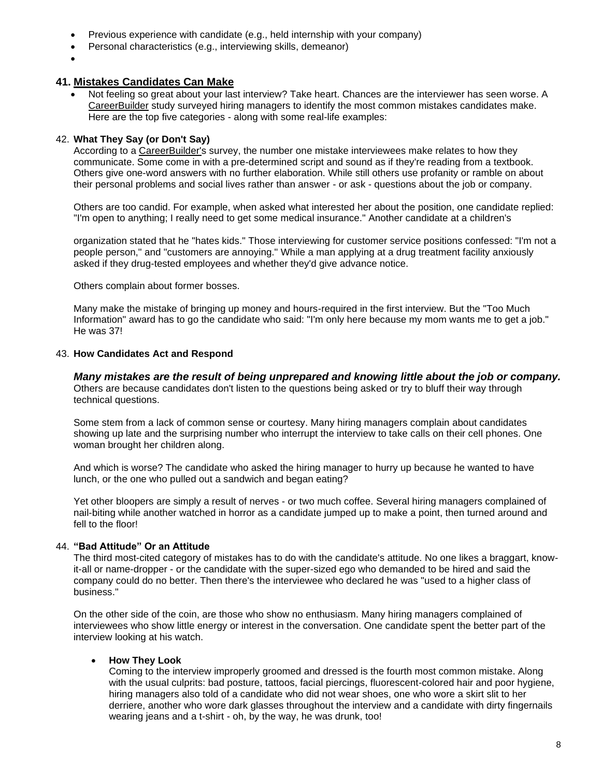- Previous experience with candidate (e.g., held internship with your company)
- Personal characteristics (e.g., interviewing skills, demeanor)
- •

### **41. Mistakes Candidates Can Make**

• Not feeling so great about your last interview? Take heart. Chances are the interviewer has seen worse. A CareerBuilder study surveyed hiring managers to identify the most common mistakes candidates make. Here are the top five categories - along with some real-life examples:

### 42. **What They Say (or Don't Say)**

According to a CareerBuilder's survey, the number one mistake interviewees make relates to how they communicate. Some come in with a pre-determined script and sound as if they're reading from a textbook. Others give one-word answers with no further elaboration. While still others use profanity or ramble on about their personal problems and social lives rather than answer - or ask - questions about the job or company.

Others are too candid. For example, when asked what interested her about the position, one candidate replied: "I'm open to anything; I really need to get some medical insurance." Another candidate at a children's

organization stated that he "hates kids." Those interviewing for customer service positions confessed: "I'm not a people person," and "customers are annoying." While a man applying at a drug treatment facility anxiously asked if they drug-tested employees and whether they'd give advance notice.

Others complain about former bosses.

Many make the mistake of bringing up money and hours-required in the first interview. But the "Too Much Information" award has to go the candidate who said: "I'm only here because my mom wants me to get a job." He was 37!

### 43. **How Candidates Act and Respond**

*Many mistakes are the result of being unprepared and knowing little about the job or company.* Others are because candidates don't listen to the questions being asked or try to bluff their way through technical questions.

Some stem from a lack of common sense or courtesy. Many hiring managers complain about candidates showing up late and the surprising number who interrupt the interview to take calls on their cell phones. One woman brought her children along.

And which is worse? The candidate who asked the hiring manager to hurry up because he wanted to have lunch, or the one who pulled out a sandwich and began eating?

Yet other bloopers are simply a result of nerves - or two much coffee. Several hiring managers complained of nail-biting while another watched in horror as a candidate jumped up to make a point, then turned around and fell to the floor!

### 44. **"Bad Attitude" Or an Attitude**

The third most-cited category of mistakes has to do with the candidate's attitude. No one likes a braggart, knowit-all or name-dropper - or the candidate with the super-sized ego who demanded to be hired and said the company could do no better. Then there's the interviewee who declared he was "used to a higher class of business."

On the other side of the coin, are those who show no enthusiasm. Many hiring managers complained of interviewees who show little energy or interest in the conversation. One candidate spent the better part of the interview looking at his watch.

### • **How They Look**

Coming to the interview improperly groomed and dressed is the fourth most common mistake. Along with the usual culprits: bad posture, tattoos, facial piercings, fluorescent-colored hair and poor hygiene, hiring managers also told of a candidate who did not wear shoes, one who wore a skirt slit to her derriere, another who wore dark glasses throughout the interview and a candidate with dirty fingernails wearing jeans and a t-shirt - oh, by the way, he was drunk, too!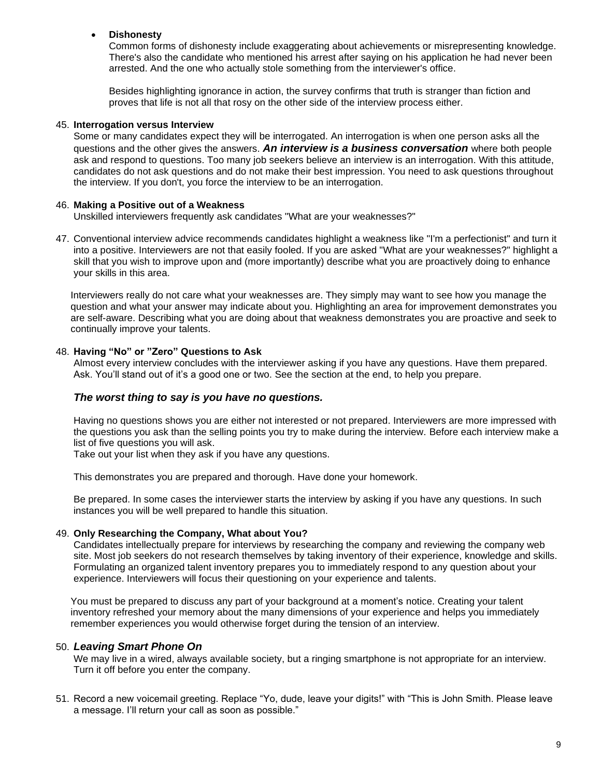# • **Dishonesty**

Common forms of dishonesty include exaggerating about achievements or misrepresenting knowledge. There's also the candidate who mentioned his arrest after saying on his application he had never been arrested. And the one who actually stole something from the interviewer's office.

Besides highlighting ignorance in action, the survey confirms that truth is stranger than fiction and proves that life is not all that rosy on the other side of the interview process either.

#### 45. **Interrogation versus Interview**

Some or many candidates expect they will be interrogated. An interrogation is when one person asks all the questions and the other gives the answers. *An interview is a business conversation* where both people ask and respond to questions. Too many job seekers believe an interview is an interrogation. With this attitude, candidates do not ask questions and do not make their best impression. You need to ask questions throughout the interview. If you don't, you force the interview to be an interrogation.

### 46. **Making a Positive out of a Weakness**

Unskilled interviewers frequently ask candidates "What are your weaknesses?"

47. Conventional interview advice recommends candidates highlight a weakness like "I'm a perfectionist" and turn it into a positive. Interviewers are not that easily fooled. If you are asked "What are your weaknesses?" highlight a skill that you wish to improve upon and (more importantly) describe what you are proactively doing to enhance your skills in this area.

Interviewers really do not care what your weaknesses are. They simply may want to see how you manage the question and what your answer may indicate about you. Highlighting an area for improvement demonstrates you are self-aware. Describing what you are doing about that weakness demonstrates you are proactive and seek to continually improve your talents.

#### 48. **Having "No" or "Zero" Questions to Ask**

Almost every interview concludes with the interviewer asking if you have any questions. Have them prepared. Ask. You'll stand out of it's a good one or two. See the section at the end, to help you prepare.

### *The worst thing to say is you have no questions.*

Having no questions shows you are either not interested or not prepared. Interviewers are more impressed with the questions you ask than the selling points you try to make during the interview. Before each interview make a list of five questions you will ask.

Take out your list when they ask if you have any questions.

This demonstrates you are prepared and thorough. Have done your homework.

Be prepared. In some cases the interviewer starts the interview by asking if you have any questions. In such instances you will be well prepared to handle this situation.

### 49. **Only Researching the Company, What about You?**

Candidates intellectually prepare for interviews by researching the company and reviewing the company web site. Most job seekers do not research themselves by taking inventory of their experience, knowledge and skills. Formulating an organized talent inventory prepares you to immediately respond to any question about your experience. Interviewers will focus their questioning on your experience and talents.

You must be prepared to discuss any part of your background at a moment's notice. Creating your talent inventory refreshed your memory about the many dimensions of your experience and helps you immediately remember experiences you would otherwise forget during the tension of an interview.

### 50. *Leaving Smart Phone On*

We may live in a wired, always available society, but a ringing smartphone is not appropriate for an interview. Turn it off before you enter the company.

51. Record a new voicemail greeting. Replace "Yo, dude, leave your digits!" with "This is John Smith. Please leave a message. I'll return your call as soon as possible."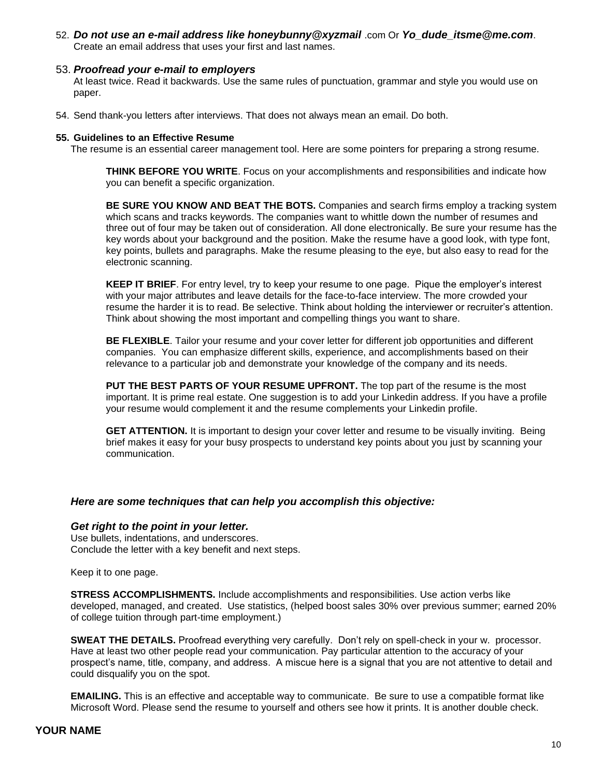52. *Do not use an e-mail address like honeybunny@xyzmail* .com Or *Yo\_dude\_itsme@me.com*. Create an email address that uses your first and last names.

### 53. *Proofread your e-mail to employers*

At least twice. Read it backwards. Use the same rules of punctuation, grammar and style you would use on paper.

54. Send thank-you letters after interviews. That does not always mean an email. Do both.

#### **55. Guidelines to an Effective Resume**

The resume is an essential career management tool. Here are some pointers for preparing a strong resume.

**THINK BEFORE YOU WRITE**. Focus on your accomplishments and responsibilities and indicate how you can benefit a specific organization.

**BE SURE YOU KNOW AND BEAT THE BOTS.** Companies and search firms employ a tracking system which scans and tracks keywords. The companies want to whittle down the number of resumes and three out of four may be taken out of consideration. All done electronically. Be sure your resume has the key words about your background and the position. Make the resume have a good look, with type font, key points, bullets and paragraphs. Make the resume pleasing to the eye, but also easy to read for the electronic scanning.

**KEEP IT BRIEF**. For entry level, try to keep your resume to one page. Pique the employer's interest with your major attributes and leave details for the face-to-face interview. The more crowded your resume the harder it is to read. Be selective. Think about holding the interviewer or recruiter's attention. Think about showing the most important and compelling things you want to share.

**BE FLEXIBLE**. Tailor your resume and your cover letter for different job opportunities and different companies. You can emphasize different skills, experience, and accomplishments based on their relevance to a particular job and demonstrate your knowledge of the company and its needs.

**PUT THE BEST PARTS OF YOUR RESUME UPFRONT.** The top part of the resume is the most important. It is prime real estate. One suggestion is to add your Linkedin address. If you have a profile your resume would complement it and the resume complements your Linkedin profile.

**GET ATTENTION.** It is important to design your cover letter and resume to be visually inviting. Being brief makes it easy for your busy prospects to understand key points about you just by scanning your communication.

### *Here are some techniques that can help you accomplish this objective:*

### *Get right to the point in your letter.*

Use bullets, indentations, and underscores. Conclude the letter with a key benefit and next steps.

Keep it to one page.

**STRESS ACCOMPLISHMENTS.** Include accomplishments and responsibilities. Use action verbs like developed, managed, and created. Use statistics, (helped boost sales 30% over previous summer; earned 20% of college tuition through part-time employment.)

**SWEAT THE DETAILS.** Proofread everything very carefully. Don't rely on spell-check in your w. processor. Have at least two other people read your communication. Pay particular attention to the accuracy of your prospect's name, title, company, and address. A miscue here is a signal that you are not attentive to detail and could disqualify you on the spot.

**EMAILING.** This is an effective and acceptable way to communicate. Be sure to use a compatible format like Microsoft Word. Please send the resume to yourself and others see how it prints. It is another double check.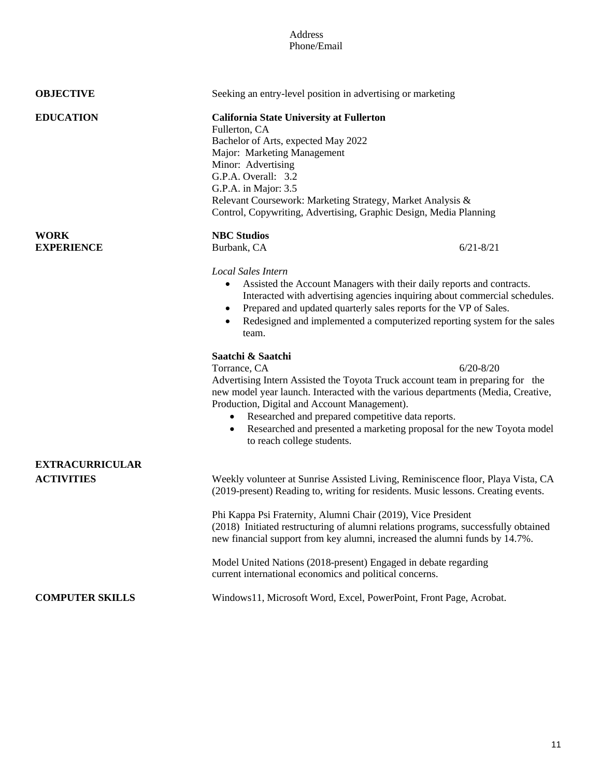### Address Phone/Email

| <b>OBJECTIVE</b>                            | Seeking an entry-level position in advertising or marketing                                                                                                                                                                                                                                                                                                                                                            |               |
|---------------------------------------------|------------------------------------------------------------------------------------------------------------------------------------------------------------------------------------------------------------------------------------------------------------------------------------------------------------------------------------------------------------------------------------------------------------------------|---------------|
| <b>EDUCATION</b>                            | <b>California State University at Fullerton</b><br>Fullerton, CA<br>Bachelor of Arts, expected May 2022<br>Major: Marketing Management<br>Minor: Advertising<br>G.P.A. Overall: 3.2<br>G.P.A. in Major: 3.5<br>Relevant Coursework: Marketing Strategy, Market Analysis &<br>Control, Copywriting, Advertising, Graphic Design, Media Planning                                                                         |               |
| <b>WORK</b>                                 | <b>NBC Studios</b>                                                                                                                                                                                                                                                                                                                                                                                                     |               |
| <b>EXPERIENCE</b>                           | Burbank, CA                                                                                                                                                                                                                                                                                                                                                                                                            | $6/21 - 8/21$ |
|                                             | Local Sales Intern<br>Assisted the Account Managers with their daily reports and contracts.<br>Interacted with advertising agencies inquiring about commercial schedules.<br>Prepared and updated quarterly sales reports for the VP of Sales.<br>٠<br>Redesigned and implemented a computerized reporting system for the sales<br>$\bullet$<br>team.                                                                  |               |
|                                             |                                                                                                                                                                                                                                                                                                                                                                                                                        |               |
|                                             | Saatchi & Saatchi<br>Torrance, CA<br>Advertising Intern Assisted the Toyota Truck account team in preparing for the<br>new model year launch. Interacted with the various departments (Media, Creative,<br>Production, Digital and Account Management).<br>• Researched and prepared competitive data reports.<br>Researched and presented a marketing proposal for the new Toyota model<br>to reach college students. | $6/20 - 8/20$ |
| <b>EXTRACURRICULAR</b><br><b>ACTIVITIES</b> | Weekly volunteer at Sunrise Assisted Living, Reminiscence floor, Playa Vista, CA<br>(2019-present) Reading to, writing for residents. Music lessons. Creating events.                                                                                                                                                                                                                                                  |               |
|                                             | Phi Kappa Psi Fraternity, Alumni Chair (2019), Vice President<br>(2018) Initiated restructuring of alumni relations programs, successfully obtained<br>new financial support from key alumni, increased the alumni funds by 14.7%.                                                                                                                                                                                     |               |
|                                             | Model United Nations (2018-present) Engaged in debate regarding<br>current international economics and political concerns.                                                                                                                                                                                                                                                                                             |               |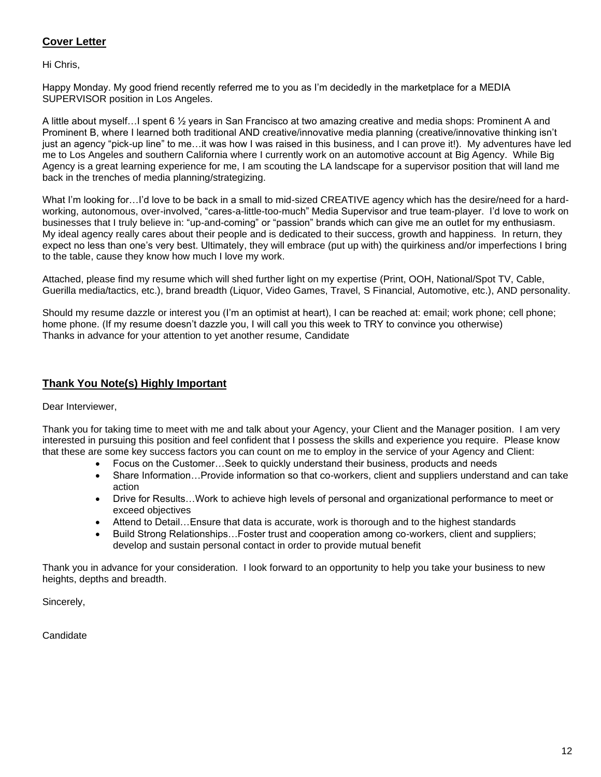# **Cover Letter**

Hi Chris,

Happy Monday. My good friend recently referred me to you as I'm decidedly in the marketplace for a MEDIA SUPERVISOR position in Los Angeles.

A little about myself…I spent 6 ½ years in San Francisco at two amazing creative and media shops: Prominent A and Prominent B, where I learned both traditional AND creative/innovative media planning (creative/innovative thinking isn't just an agency "pick-up line" to me…it was how I was raised in this business, and I can prove it!). My adventures have led me to Los Angeles and southern California where I currently work on an automotive account at Big Agency. While Big Agency is a great learning experience for me, I am scouting the LA landscape for a supervisor position that will land me back in the trenches of media planning/strategizing.

What I'm looking for...I'd love to be back in a small to mid-sized CREATIVE agency which has the desire/need for a hardworking, autonomous, over-involved, "cares-a-little-too-much" Media Supervisor and true team-player. I'd love to work on businesses that I truly believe in: "up-and-coming" or "passion" brands which can give me an outlet for my enthusiasm. My ideal agency really cares about their people and is dedicated to their success, growth and happiness. In return, they expect no less than one's very best. Ultimately, they will embrace (put up with) the quirkiness and/or imperfections I bring to the table, cause they know how much I love my work.

Attached, please find my resume which will shed further light on my expertise (Print, OOH, National/Spot TV, Cable, Guerilla media/tactics, etc.), brand breadth (Liquor, Video Games, Travel, S Financial, Automotive, etc.), AND personality.

Should my resume dazzle or interest you (I'm an optimist at heart), I can be reached at: email; work phone; cell phone; home phone. (If my resume doesn't dazzle you, I will call you this week to TRY to convince you otherwise) Thanks in advance for your attention to yet another resume, Candidate

# **Thank You Note(s) Highly Important**

Dear Interviewer,

Thank you for taking time to meet with me and talk about your Agency, your Client and the Manager position. I am very interested in pursuing this position and feel confident that I possess the skills and experience you require. Please know that these are some key success factors you can count on me to employ in the service of your Agency and Client:

- Focus on the Customer…Seek to quickly understand their business, products and needs
- Share Information…Provide information so that co-workers, client and suppliers understand and can take action
- Drive for Results…Work to achieve high levels of personal and organizational performance to meet or exceed objectives
- Attend to Detail…Ensure that data is accurate, work is thorough and to the highest standards
- Build Strong Relationships…Foster trust and cooperation among co-workers, client and suppliers; develop and sustain personal contact in order to provide mutual benefit

Thank you in advance for your consideration. I look forward to an opportunity to help you take your business to new heights, depths and breadth.

Sincerely,

Candidate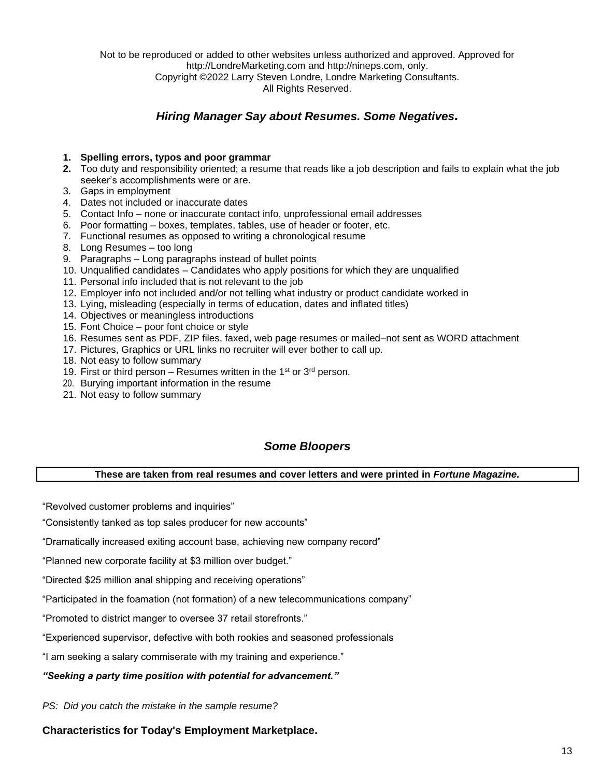Not to be reproduced or added to other websites unless authorized and approved. Approved for http://LondreMarketing.com and [http://nineps.com,](http://nineps.com/) only. Copyright ©2022 Larry Steven Londre, Londre Marketing Consultants. All Rights Reserved.

# *Hiring Manager Say about Resumes. Some Negatives.*

### **1. Spelling errors, typos and poor grammar**

- **2.** Too duty and responsibility oriented; a resume that reads like a job description and fails to explain what the job seeker's accomplishments were or are.
- 3. Gaps in employment
- 4. Dates not included or inaccurate dates
- 5. Contact Info none or inaccurate contact info, unprofessional email addresses
- 6. Poor formatting boxes, templates, tables, use of header or footer, etc.
- 7. Functional resumes as opposed to writing a chronological resume
- 8. Long Resumes too long
- 9. Paragraphs Long paragraphs instead of bullet points
- 10. Unqualified candidates Candidates who apply positions for which they are unqualified
- 11. Personal info included that is not relevant to the job
- 12. Employer info not included and/or not telling what industry or product candidate worked in
- 13. Lying, misleading (especially in terms of education, dates and inflated titles)
- 14. Objectives or meaningless introductions
- 15. Font Choice poor font choice or style
- 16. Resumes sent as PDF, ZIP files, faxed, web page resumes or mailed–not sent as WORD attachment
- 17. Pictures, Graphics or URL links no recruiter will ever bother to call up.
- 18. Not easy to follow summary
- 19. First or third person Resumes written in the 1<sup>st</sup> or  $3<sup>rd</sup>$  person.
- 20. Burying important information in the resume
- 21. Not easy to follow summary

# *Some Bloopers*

### **These are taken from real resumes and cover letters and were printed in** *Fortune Magazine.*

"Revolved customer problems and inquiries"

"Consistently tanked as top sales producer for new accounts"

"Dramatically increased exiting account base, achieving new company record"

"Planned new corporate facility at \$3 million over budget."

"Directed \$25 million anal shipping and receiving operations"

"Participated in the foamation (not formation) of a new telecommunications company"

"Promoted to district manger to oversee 37 retail storefronts."

"Experienced supervisor, defective with both rookies and seasoned professionals

"I am seeking a salary commiserate with my training and experience."

### *"Seeking a party time position with potential for advancement."*

*PS: Did you catch the mistake in the sample resume?*

**Characteristics for Today's Employment Marketplace.**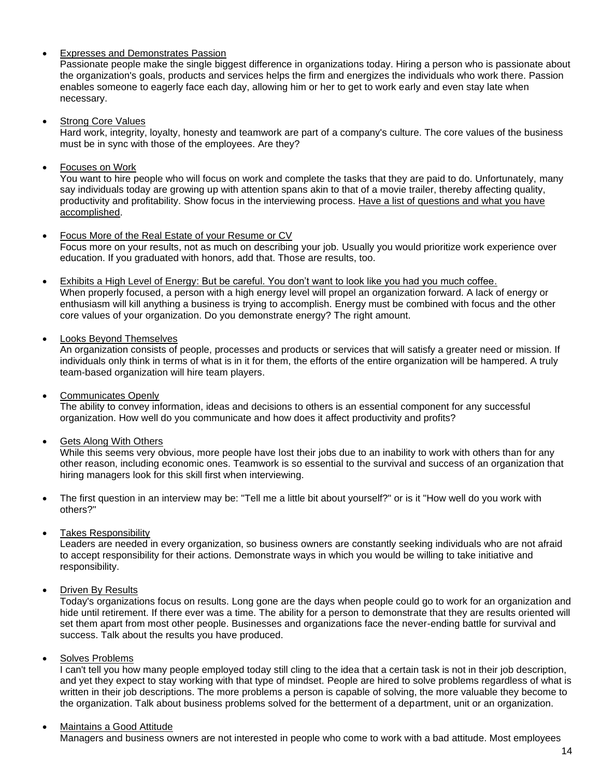# • Expresses and Demonstrates Passion

Passionate people make the single biggest difference in organizations today. Hiring a person who is passionate about the organization's goals, products and services helps the firm and energizes the individuals who work there. Passion enables someone to eagerly face each day, allowing him or her to get to work early and even stay late when necessary.

• Strong Core Values

Hard work, integrity, loyalty, honesty and teamwork are part of a company's culture. The core values of the business must be in sync with those of the employees. Are they?

• Focuses on Work

You want to hire people who will focus on work and complete the tasks that they are paid to do. Unfortunately, many say individuals today are growing up with attention spans akin to that of a movie trailer, thereby affecting quality, productivity and profitability. Show focus in the interviewing process. Have a list of questions and what you have accomplished.

- Focus More of the Real Estate of your Resume or CV Focus more on your results, not as much on describing your job. Usually you would prioritize work experience over education. If you graduated with honors, add that. Those are results, too.
- Exhibits a High Level of Energy: But be careful. You don't want to look like you had you much coffee. When properly focused, a person with a high energy level will propel an organization forward. A lack of energy or enthusiasm will kill anything a business is trying to accomplish. Energy must be combined with focus and the other core values of your organization. Do you demonstrate energy? The right amount.
- Looks Beyond Themselves

An organization consists of people, processes and products or services that will satisfy a greater need or mission. If individuals only think in terms of what is in it for them, the efforts of the entire organization will be hampered. A truly team-based organization will hire team players.

• Communicates Openly

The ability to convey information, ideas and decisions to others is an essential component for any successful organization. How well do you communicate and how does it affect productivity and profits?

• Gets Along With Others

While this seems very obvious, more people have lost their jobs due to an inability to work with others than for any other reason, including economic ones. Teamwork is so essential to the survival and success of an organization that hiring managers look for this skill first when interviewing.

- The first question in an interview may be: "Tell me a little bit about yourself?" or is it "How well do you work with others?"
- Takes Responsibility

Leaders are needed in every organization, so business owners are constantly seeking individuals who are not afraid to accept responsibility for their actions. Demonstrate ways in which you would be willing to take initiative and responsibility.

• Driven By Results

Today's organizations focus on results. Long gone are the days when people could go to work for an organization and hide until retirement. If there ever was a time. The ability for a person to demonstrate that they are results oriented will set them apart from most other people. Businesses and organizations face the never-ending battle for survival and success. Talk about the results you have produced.

• Solves Problems

I can't tell you how many people employed today still cling to the idea that a certain task is not in their job description, and yet they expect to stay working with that type of mindset. People are hired to solve problems regardless of what is written in their job descriptions. The more problems a person is capable of solving, the more valuable they become to the organization. Talk about business problems solved for the betterment of a department, unit or an organization.

### • Maintains a Good Attitude

Managers and business owners are not interested in people who come to work with a bad attitude. Most employees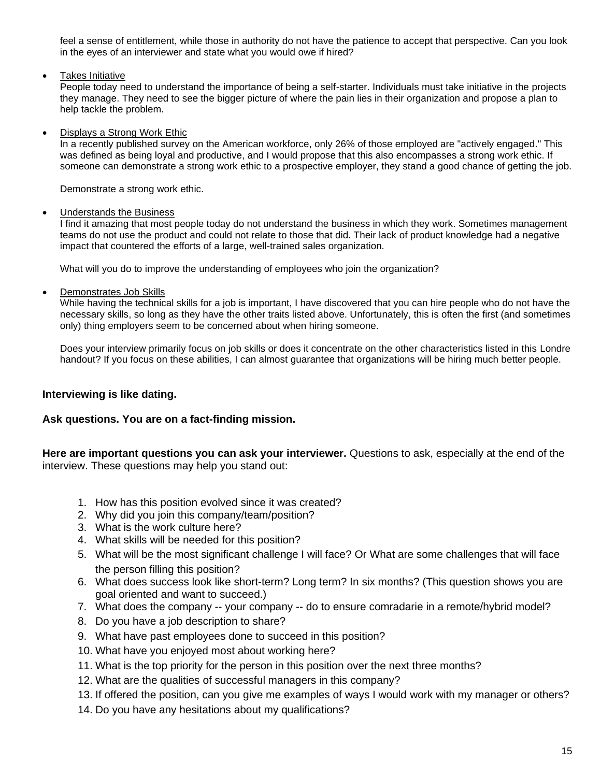feel a sense of entitlement, while those in authority do not have the patience to accept that perspective. Can you look in the eyes of an interviewer and state what you would owe if hired?

• Takes Initiative

People today need to understand the importance of being a self-starter. Individuals must take initiative in the projects they manage. They need to see the bigger picture of where the pain lies in their organization and propose a plan to help tackle the problem.

• Displays a Strong Work Ethic

In a recently published survey on the American workforce, only 26% of those employed are "actively engaged." This was defined as being loyal and productive, and I would propose that this also encompasses a strong work ethic. If someone can demonstrate a strong work ethic to a prospective employer, they stand a good chance of getting the job.

Demonstrate a strong work ethic.

# • Understands the Business

I find it amazing that most people today do not understand the business in which they work. Sometimes management teams do not use the product and could not relate to those that did. Their lack of product knowledge had a negative impact that countered the efforts of a large, well-trained sales organization.

What will you do to improve the understanding of employees who join the organization?

• Demonstrates Job Skills

While having the technical skills for a job is important, I have discovered that you can hire people who do not have the necessary skills, so long as they have the other traits listed above. Unfortunately, this is often the first (and sometimes only) thing employers seem to be concerned about when hiring someone.

Does your interview primarily focus on job skills or does it concentrate on the other characteristics listed in this Londre handout? If you focus on these abilities, I can almost guarantee that organizations will be hiring much better people.

# **Interviewing is like dating.**

# **Ask questions. You are on a fact-finding mission.**

**Here are important questions you can ask your interviewer.** Questions to ask, especially at the end of the interview. These questions may help you stand out:

- 1. How has this position evolved since it was created?
- 2. Why did you join this company/team/position?
- 3. What is the work culture here?
- 4. What skills will be needed for this position?
- 5. What will be the most significant challenge I will face? Or What are some challenges that will face the person filling this position?
- 6. What does success look like short-term? Long term? In six months? (This question shows you are goal oriented and want to succeed.)
- 7. What does the company -- your company -- do to ensure comradarie in a remote/hybrid model?
- 8. Do you have a job description to share?
- 9. What have past employees done to succeed in this position?
- 10. What have you enjoyed most about working here?
- 11. What is the top priority for the person in this position over the next three months?
- 12. What are the qualities of successful managers in this company?
- 13. If offered the position, can you give me examples of ways I would work with my manager or others?
- 14. Do you have any hesitations about my qualifications?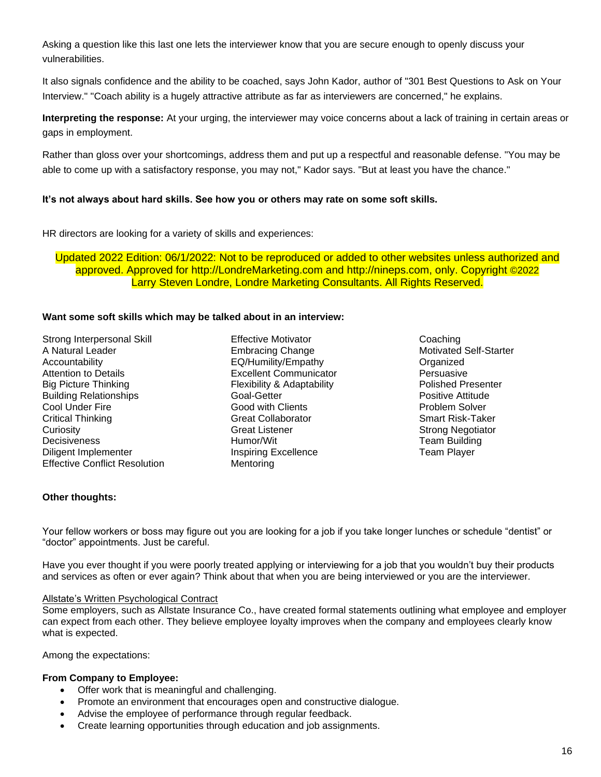Asking a question like this last one lets the interviewer know that you are secure enough to openly discuss your vulnerabilities.

It also signals confidence and the ability to be coached, says John Kador, author of "301 Best Questions to Ask on Your Interview." "Coach ability is a hugely attractive attribute as far as interviewers are concerned," he explains.

**Interpreting the response:** At your urging, the interviewer may voice concerns about a lack of training in certain areas or gaps in employment.

Rather than gloss over your shortcomings, address them and put up a respectful and reasonable defense. "You may be able to come up with a satisfactory response, you may not," Kador says. "But at least you have the chance."

### **It's not always about hard skills. See how you or others may rate on some soft skills.**

HR directors are looking for a variety of skills and experiences:

Updated 2022 Edition: 06/1/2022: Not to be reproduced or added to other websites unless authorized and approved. Approved for http://LondreMarketing.com and [http://nineps.com,](http://nineps.com/) only. Copyright ©2022 Larry Steven Londre, Londre Marketing Consultants. All Rights Reserved.

### **Want some soft skills which may be talked about in an interview:**

Strong Interpersonal Skill A Natural Leader Accountability Attention to Details Big Picture Thinking Building Relationships Cool Under Fire Critical Thinking **Curiosity Decisiveness** Diligent Implementer Effective Conflict Resolution Effective Motivator Embracing Change EQ/Humility/Empathy Excellent Communicator Flexibility & Adaptability Goal-Getter Good with Clients Great Collaborator Great Listener Humor/Wit Inspiring Excellence Mentoring

Coaching Motivated Self-Starter Organized Persuasive Polished Presenter Positive Attitude Problem Solver Smart Risk-Taker Strong Negotiator Team Building Team Player

### **Other thoughts:**

Your fellow workers or boss may figure out you are looking for a job if you take longer lunches or schedule "dentist" or "doctor" appointments. Just be careful.

Have you ever thought if you were poorly treated applying or interviewing for a job that you wouldn't buy their products and services as often or ever again? Think about that when you are being interviewed or you are the interviewer.

### Allstate's Written Psychological Contract

Some employers, such as Allstate Insurance Co., have created formal statements outlining what employee and employer can expect from each other. They believe employee loyalty improves when the company and employees clearly know what is expected.

Among the expectations:

### **From Company to Employee:**

- Offer work that is meaningful and challenging.
- Promote an environment that encourages open and constructive dialogue.
- Advise the employee of performance through regular feedback.
- Create learning opportunities through education and job assignments.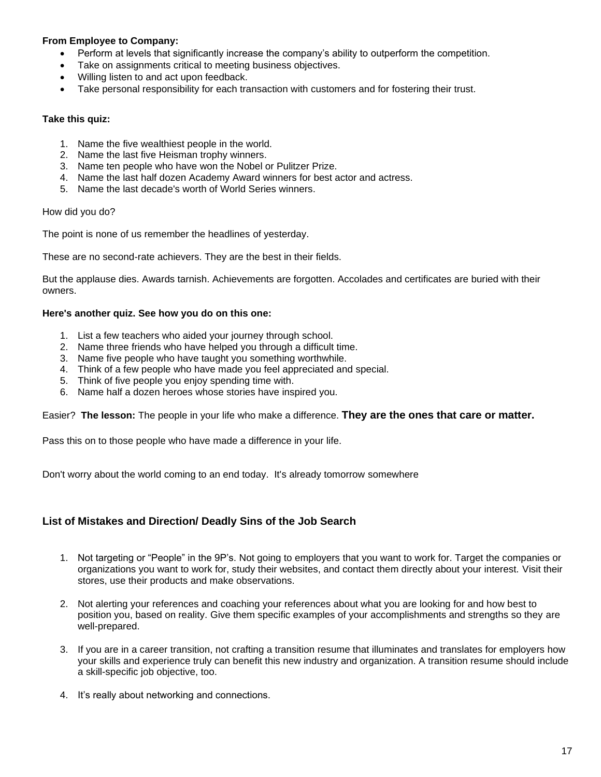### **From Employee to Company:**

- Perform at levels that significantly increase the company's ability to outperform the competition.
- Take on assignments critical to meeting business objectives.
- Willing listen to and act upon feedback.
- Take personal responsibility for each transaction with customers and for fostering their trust.

### **Take this quiz:**

- 1. Name the five wealthiest people in the world.
- 2. Name the last five Heisman trophy winners.
- 3. Name ten people who have won the Nobel or Pulitzer Prize.
- 4. Name the last half dozen Academy Award winners for best actor and actress.
- 5. Name the last decade's worth of World Series winners.

### How did you do?

The point is none of us remember the headlines of yesterday.

These are no second-rate achievers. They are the best in their fields.

But the applause dies. Awards tarnish. Achievements are forgotten. Accolades and certificates are buried with their owners.

### **Here's another quiz. See how you do on this one:**

- 1. List a few teachers who aided your journey through school.
- 2. Name three friends who have helped you through a difficult time.
- 3. Name five people who have taught you something worthwhile.
- 4. Think of a few people who have made you feel appreciated and special.
- 5. Think of five people you enjoy spending time with.
- 6. Name half a dozen heroes whose stories have inspired you.

Easier? **The lesson:** The people in your life who make a difference. **They are the ones that care or matter.**

Pass this on to those people who have made a difference in your life.

Don't worry about the world coming to an end today. It's already tomorrow somewhere

# **List of Mistakes and Direction/ Deadly Sins of the Job Search**

- 1. Not targeting or "People" in the 9P's. Not going to employers that you want to work for. Target the companies or organizations you want to work for, study their websites, and contact them directly about your interest. Visit their stores, use their products and make observations.
- 2. Not alerting your references and coaching your references about what you are looking for and how best to position you, based on reality. Give them specific examples of your accomplishments and strengths so they are well-prepared.
- 3. If you are in a career transition, not crafting a transition resume that illuminates and translates for employers how your skills and experience truly can benefit this new industry and organization. A transition resume should include a skill-specific job objective, too.
- 4. It's really about networking and connections.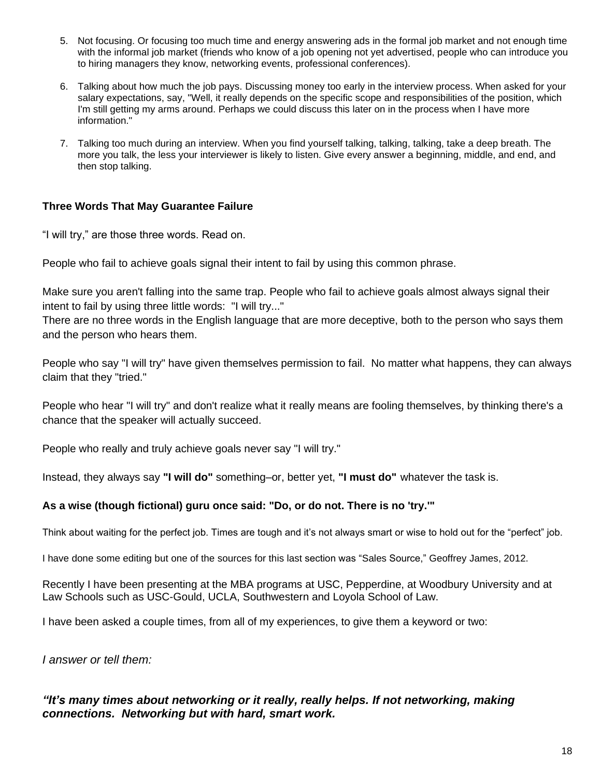- 5. Not focusing. Or focusing too much time and energy answering ads in the formal job market and not enough time with the informal job market (friends who know of a job opening not yet advertised, people who can introduce you to hiring managers they know, networking events, professional conferences).
- 6. Talking about how much the job pays. Discussing money too early in the interview process. When asked for your salary expectations, say, "Well, it really depends on the specific scope and responsibilities of the position, which I'm still getting my arms around. Perhaps we could discuss this later on in the process when I have more information."
- 7. Talking too much during an interview. When you find yourself talking, talking, talking, take a deep breath. The more you talk, the less your interviewer is likely to listen. Give every answer a beginning, middle, and end, and then stop talking.

# **Three Words That May Guarantee Failure**

"I will try," are those three words. Read on.

People who fail to achieve goals signal their intent to fail by using this common phrase.

Make sure you aren't falling into the same trap. People who fail to achieve goals almost always signal their intent to fail by using three little words: "I will try..."

There are no three words in the English language that are more deceptive, both to the person who says them and the person who hears them.

People who say "I will try" have given themselves permission to fail. No matter what happens, they can always claim that they "tried."

People who hear "I will try" and don't realize what it really means are fooling themselves, by thinking there's a chance that the speaker will actually succeed.

People who really and truly achieve goals never say "I will try."

Instead, they always say **"I will do"** something–or, better yet, **"I must do"** whatever the task is.

# **As a wise (though fictional) guru once said: "Do, or do not. There is no 'try.'"**

Think about waiting for the perfect job. Times are tough and it's not always smart or wise to hold out for the "perfect" job.

I have done some editing but one of the sources for this last section was ["Sales](http://www.inc.com/author/geoffrey-james) Source," [Geoffrey James,](http://www.inc.com/author/geoffrey-james) 2012.

Recently I have been presenting at the MBA programs at USC, Pepperdine, at Woodbury University and at Law Schools such as USC-Gould, UCLA, Southwestern and Loyola School of Law.

I have been asked a couple times, from all of my experiences, to give them a keyword or two:

*I answer or tell them:* 

# *"It's many times about networking or it really, really helps. If not networking, making connections. Networking but with hard, smart work.*